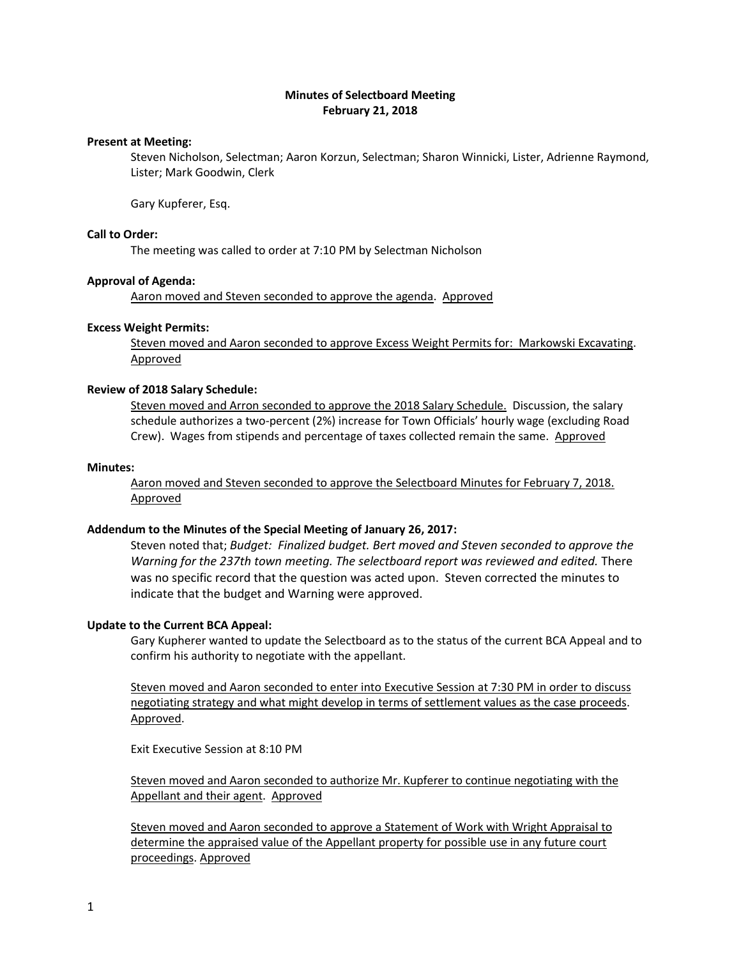## **Minutes of Selectboard Meeting February 21, 2018**

## **Present at Meeting:**

Steven Nicholson, Selectman; Aaron Korzun, Selectman; Sharon Winnicki, Lister, Adrienne Raymond, Lister; Mark Goodwin, Clerk

Gary Kupferer, Esq.

## **Call to Order:**

The meeting was called to order at 7:10 PM by Selectman Nicholson

#### **Approval of Agenda:**

Aaron moved and Steven seconded to approve the agenda. Approved

#### **Excess Weight Permits:**

Steven moved and Aaron seconded to approve Excess Weight Permits for: Markowski Excavating. Approved

#### **Review of 2018 Salary Schedule:**

Steven moved and Arron seconded to approve the 2018 Salary Schedule. Discussion, the salary schedule authorizes a two-percent (2%) increase for Town Officials' hourly wage (excluding Road Crew). Wages from stipends and percentage of taxes collected remain the same. Approved

#### **Minutes:**

Aaron moved and Steven seconded to approve the Selectboard Minutes for February 7, 2018. Approved

## **Addendum to the Minutes of the Special Meeting of January 26, 2017:**

Steven noted that; *Budget: Finalized budget. Bert moved and Steven seconded to approve the Warning for the 237th town meeting. The selectboard report was reviewed and edited.* There was no specific record that the question was acted upon. Steven corrected the minutes to indicate that the budget and Warning were approved.

## **Update to the Current BCA Appeal:**

Gary Kupherer wanted to update the Selectboard as to the status of the current BCA Appeal and to confirm his authority to negotiate with the appellant.

Steven moved and Aaron seconded to enter into Executive Session at 7:30 PM in order to discuss negotiating strategy and what might develop in terms of settlement values as the case proceeds. Approved.

Exit Executive Session at 8:10 PM

Steven moved and Aaron seconded to authorize Mr. Kupferer to continue negotiating with the Appellant and their agent. Approved

Steven moved and Aaron seconded to approve a Statement of Work with Wright Appraisal to determine the appraised value of the Appellant property for possible use in any future court proceedings. Approved